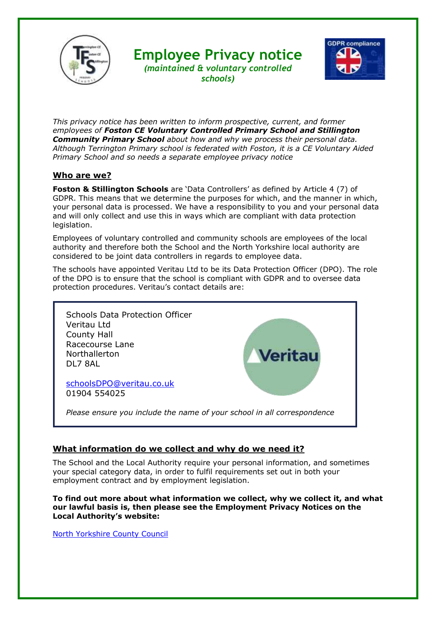

# **Employee Privacy notice**



*(maintained & voluntary controlled schools)*

*This privacy notice has been written to inform prospective, current, and former employees of Foston CE Voluntary Controlled Primary School and Stillington Community Primary School about how and why we process their personal data. Although Terrington Primary school is federated with Foston, it is a CE Voluntary Aided Primary School and so needs a separate employee privacy notice*

#### **Who are we?**

**Foston & Stillington Schools** are 'Data Controllers' as defined by Article 4 (7) of GDPR. This means that we determine the purposes for which, and the manner in which, your personal data is processed. We have a responsibility to you and your personal data and will only collect and use this in ways which are compliant with data protection legislation.

Employees of voluntary controlled and community schools are employees of the local authority and therefore both the School and the North Yorkshire local authority are considered to be joint data controllers in regards to employee data.

The schools have appointed Veritau Ltd to be its Data Protection Officer (DPO). The role of the DPO is to ensure that the school is compliant with GDPR and to oversee data protection procedures. Veritau's contact details are:



## **What information do we collect and why do we need it?**

The School and the Local Authority require your personal information, and sometimes your special category data, in order to fulfil requirements set out in both your employment contract and by employment legislation.

**To find out more about what information we collect, why we collect it, and what our lawful basis is, then please see the Employment Privacy Notices on the Local Authority's website:**

[North Yorkshire County Council](https://www.northyorks.gov.uk/working-us)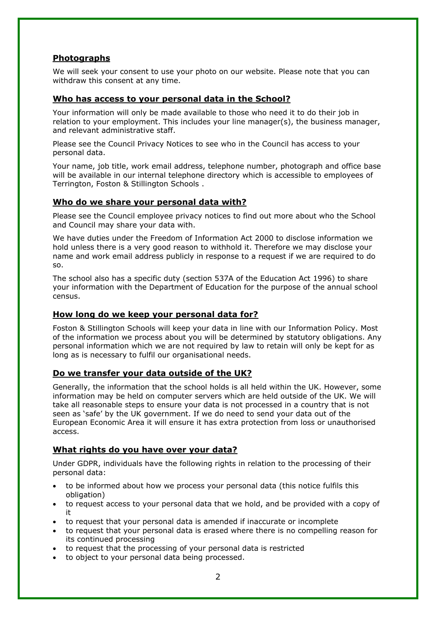## **Photographs**

We will seek your consent to use your photo on our website. Please note that you can withdraw this consent at any time.

#### **Who has access to your personal data in the School?**

Your information will only be made available to those who need it to do their job in relation to your employment. This includes your line manager(s), the business manager, and relevant administrative staff.

Please see the Council Privacy Notices to see who in the Council has access to your personal data.

Your name, job title, work email address, telephone number, photograph and office base will be available in our internal telephone directory which is accessible to employees of Terrington, Foston & Stillington Schools .

#### **Who do we share your personal data with?**

Please see the Council employee privacy notices to find out more about who the School and Council may share your data with.

We have duties under the Freedom of Information Act 2000 to disclose information we hold unless there is a very good reason to withhold it. Therefore we may disclose your name and work email address publicly in response to a request if we are required to do so.

The school also has a specific duty (section 537A of the Education Act 1996) to share your information with the Department of Education for the purpose of the annual school census.

#### **How long do we keep your personal data for?**

Foston & Stillington Schools will keep your data in line with our Information Policy. Most of the information we process about you will be determined by statutory obligations. Any personal information which we are not required by law to retain will only be kept for as long as is necessary to fulfil our organisational needs.

#### **Do we transfer your data outside of the UK?**

Generally, the information that the school holds is all held within the UK. However, some information may be held on computer servers which are held outside of the UK. We will take all reasonable steps to ensure your data is not processed in a country that is not seen as 'safe' by the UK government. If we do need to send your data out of the European Economic Area it will ensure it has extra protection from loss or unauthorised access.

### **What rights do you have over your data?**

Under GDPR, individuals have the following rights in relation to the processing of their personal data:

- to be informed about how we process your personal data (this notice fulfils this obligation)
- to request access to your personal data that we hold, and be provided with a copy of it
- to request that your personal data is amended if inaccurate or incomplete
- to request that your personal data is erased where there is no compelling reason for its continued processing
- to request that the processing of your personal data is restricted
- to object to your personal data being processed.